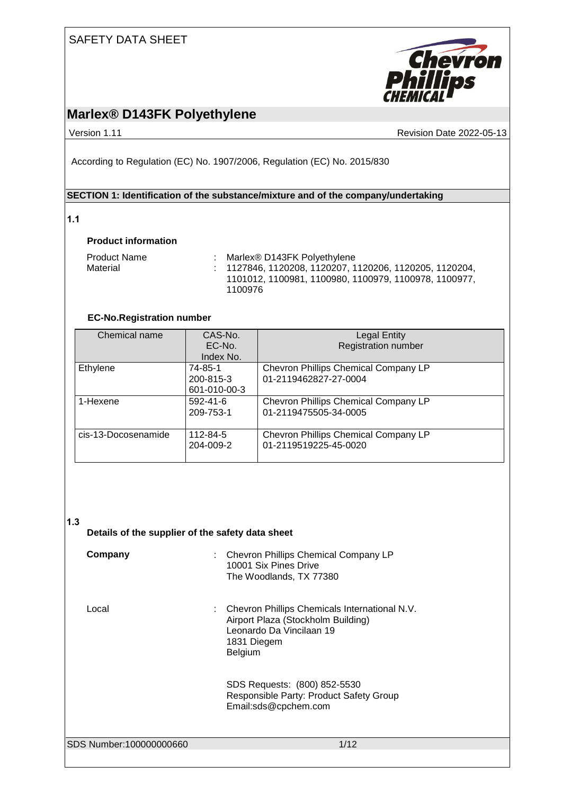

### **Marlex® D143FK Polyethylene**

Version 1.11 **Version 1.11** Revision Date 2022-05-13

According to Regulation (EC) No. 1907/2006, Regulation (EC) No. 2015/830

#### **SECTION 1: Identification of the substance/mixture and of the company/undertaking**

#### **1.1**

#### **Product information**

| <b>Product Name</b> | Marlex® D143FK Polyethylene                                                                                        |
|---------------------|--------------------------------------------------------------------------------------------------------------------|
| Material            | $: 1127846, 1120208, 1120207, 1120206, 1120205, 1120204,$<br>1101012, 1100981, 1100980, 1100979, 1100978, 1100977, |
|                     | 1100976                                                                                                            |

#### **EC-No.Registration number**

| Chemical name       | CAS-No.        | <b>Legal Entity</b>                  |
|---------------------|----------------|--------------------------------------|
|                     | EC-No.         | <b>Registration number</b>           |
|                     | Index No.      |                                      |
| Ethylene            | 74-85-1        | Chevron Phillips Chemical Company LP |
|                     | 200-815-3      | 01-2119462827-27-0004                |
|                     | 601-010-00-3   |                                      |
| 1-Hexene            | $592 - 41 - 6$ | Chevron Phillips Chemical Company LP |
|                     | 209-753-1      | 01-2119475505-34-0005                |
|                     |                |                                      |
| cis-13-Docosenamide | 112-84-5       | Chevron Phillips Chemical Company LP |
|                     | 204-009-2      | 01-2119519225-45-0020                |
|                     |                |                                      |

#### **1.3**

#### **Details of the supplier of the safety data sheet**

| Company                 | <b>Chevron Phillips Chemical Company LP</b><br>10001 Six Pines Drive<br>The Woodlands, TX 77380                                             |
|-------------------------|---------------------------------------------------------------------------------------------------------------------------------------------|
| Local                   | : Chevron Phillips Chemicals International N.V.<br>Airport Plaza (Stockholm Building)<br>Leonardo Da Vincilaan 19<br>1831 Diegem<br>Belgium |
|                         | SDS Requests: (800) 852-5530<br>Responsible Party: Product Safety Group<br>Email:sds@cpchem.com                                             |
| SDS Number:100000000660 | 1/12                                                                                                                                        |
|                         |                                                                                                                                             |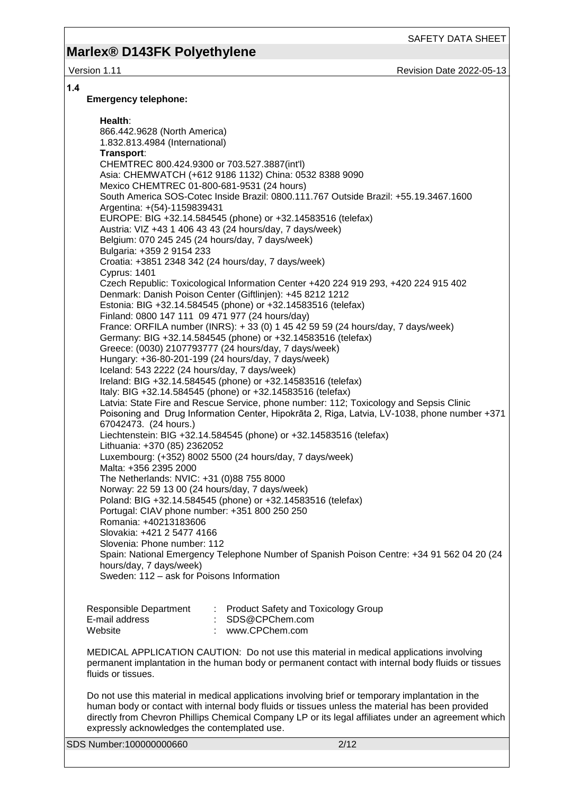### **Marlex® D143FK Polyethylene**

Version 1.11 **Network 2022-05-13** Revision Date 2022-05-13

#### **1.4**

#### **Emergency telephone:**

**Health**: 866.442.9628 (North America) 1.832.813.4984 (International) **Transport**: CHEMTREC 800.424.9300 or 703.527.3887(int'l) Asia: CHEMWATCH (+612 9186 1132) China: 0532 8388 9090 Mexico CHEMTREC 01-800-681-9531 (24 hours) South America SOS-Cotec Inside Brazil: 0800.111.767 Outside Brazil: +55.19.3467.1600 Argentina: +(54)-1159839431 EUROPE: BIG +32.14.584545 (phone) or +32.14583516 (telefax) Austria: VIZ +43 1 406 43 43 (24 hours/day, 7 days/week) Belgium: 070 245 245 (24 hours/day, 7 days/week) Bulgaria: +359 2 9154 233 Croatia: +3851 2348 342 (24 hours/day, 7 days/week) Cyprus: 1401 Czech Republic: Toxicological Information Center +420 224 919 293, +420 224 915 402 Denmark: Danish Poison Center (Giftlinjen): +45 8212 1212 Estonia: BIG +32.14.584545 (phone) or +32.14583516 (telefax) Finland: 0800 147 111 09 471 977 (24 hours/day) France: ORFILA number (INRS): + 33 (0) 1 45 42 59 59 (24 hours/day, 7 days/week) Germany: BIG +32.14.584545 (phone) or +32.14583516 (telefax) Greece: (0030) 2107793777 (24 hours/day, 7 days/week) Hungary: +36-80-201-199 (24 hours/day, 7 days/week) Iceland: 543 2222 (24 hours/day, 7 days/week) Ireland: BIG +32.14.584545 (phone) or +32.14583516 (telefax) Italy: BIG +32.14.584545 (phone) or +32.14583516 (telefax) Latvia: State Fire and Rescue Service, phone number: 112; Toxicology and Sepsis Clinic Poisoning and Drug Information Center, Hipokrāta 2, Riga, Latvia, LV-1038, phone number +371 67042473. (24 hours.) Liechtenstein: BIG +32.14.584545 (phone) or +32.14583516 (telefax) Lithuania: +370 (85) 2362052 Luxembourg: (+352) 8002 5500 (24 hours/day, 7 days/week) Malta: +356 2395 2000 The Netherlands: NVIC: +31 (0)88 755 8000 Norway: 22 59 13 00 (24 hours/day, 7 days/week) Poland: BIG +32.14.584545 (phone) or +32.14583516 (telefax) Portugal: CIAV phone number: +351 800 250 250 Romania: +40213183606 Slovakia: +421 2 5477 4166 Slovenia: Phone number: 112 Spain: National Emergency Telephone Number of Spanish Poison Centre: +34 91 562 04 20 (24 hours/day, 7 days/week) Sweden: 112 – ask for Poisons Information

| Responsible Department | : Product Safety and Toxicology Group |
|------------------------|---------------------------------------|
| E-mail address         | $\therefore$ SDS@CPChem.com           |
| Website                | www.CPChem.com                        |

MEDICAL APPLICATION CAUTION: Do not use this material in medical applications involving permanent implantation in the human body or permanent contact with internal body fluids or tissues fluids or tissues.

Do not use this material in medical applications involving brief or temporary implantation in the human body or contact with internal body fluids or tissues unless the material has been provided directly from Chevron Phillips Chemical Company LP or its legal affiliates under an agreement which expressly acknowledges the contemplated use.

SDS Number:100000000660 2/12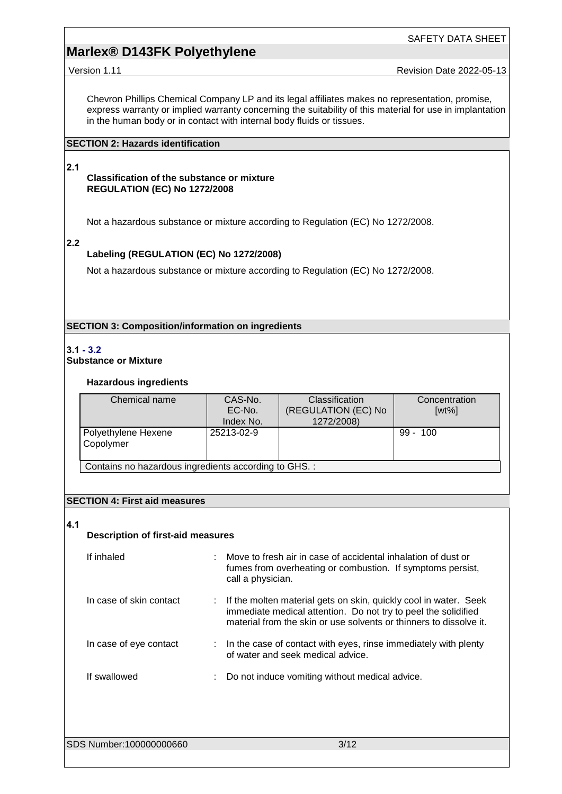Version 1.11 **Version 1.11** Revision Date 2022-05-13

Chevron Phillips Chemical Company LP and its legal affiliates makes no representation, promise, express warranty or implied warranty concerning the suitability of this material for use in implantation in the human body or in contact with internal body fluids or tissues.

#### **SECTION 2: Hazards identification**

#### **2.1**

#### **Classification of the substance or mixture REGULATION (EC) No 1272/2008**

Not a hazardous substance or mixture according to Regulation (EC) No 1272/2008.

#### **2.2**

#### **Labeling (REGULATION (EC) No 1272/2008)**

Not a hazardous substance or mixture according to Regulation (EC) No 1272/2008.

**SECTION 3: Composition/information on ingredients**

#### **3.1 - 3.2**

**Substance or Mixture**

#### **Hazardous ingredients**

| Chemical name                                         | CAS-No.<br>EC-No.<br>Index No. | <b>Classification</b><br>(REGULATION (EC) No<br>1272/2008) | Concentration<br>$[wt\%]$ |  |  |
|-------------------------------------------------------|--------------------------------|------------------------------------------------------------|---------------------------|--|--|
| Polyethylene Hexene<br>Copolymer                      | 25213-02-9                     |                                                            | $99 - 100$                |  |  |
| Contains no hazardous ingredients according to GHS. : |                                |                                                            |                           |  |  |

#### **SECTION 4: First aid measures**

#### **4.1**

#### **Description of first-aid measures**

| If inhaled              | Move to fresh air in case of accidental inhalation of dust or<br>fumes from overheating or combustion. If symptoms persist,<br>call a physician.                                                         |
|-------------------------|----------------------------------------------------------------------------------------------------------------------------------------------------------------------------------------------------------|
| In case of skin contact | If the molten material gets on skin, quickly cool in water. Seek<br>immediate medical attention. Do not try to peel the solidified<br>material from the skin or use solvents or thinners to dissolve it. |
| In case of eye contact  | $\therefore$ In the case of contact with eyes, rinse immediately with plenty<br>of water and seek medical advice.                                                                                        |
| If swallowed            | Do not induce vomiting without medical advice.                                                                                                                                                           |

SDS Number:100000000660 3/12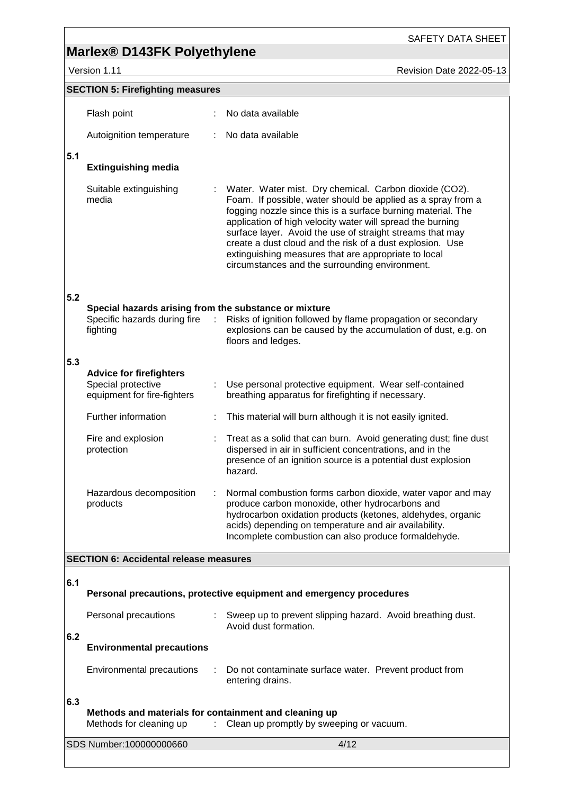version 1.11 Version 1.11 Revision Date 2022-05-13

SAFETY DATA SHEET

|     | <b>SECTION 5: Firefighting measures</b>                                                                       |                                                                                                                                                                                                                                                                                                                                                                                                                                                                                          |
|-----|---------------------------------------------------------------------------------------------------------------|------------------------------------------------------------------------------------------------------------------------------------------------------------------------------------------------------------------------------------------------------------------------------------------------------------------------------------------------------------------------------------------------------------------------------------------------------------------------------------------|
|     | Flash point                                                                                                   | No data available                                                                                                                                                                                                                                                                                                                                                                                                                                                                        |
|     | Autoignition temperature                                                                                      | No data available                                                                                                                                                                                                                                                                                                                                                                                                                                                                        |
| 5.1 | <b>Extinguishing media</b>                                                                                    |                                                                                                                                                                                                                                                                                                                                                                                                                                                                                          |
|     | Suitable extinguishing<br>media                                                                               | Water. Water mist. Dry chemical. Carbon dioxide (CO2).<br>Foam. If possible, water should be applied as a spray from a<br>fogging nozzle since this is a surface burning material. The<br>application of high velocity water will spread the burning<br>surface layer. Avoid the use of straight streams that may<br>create a dust cloud and the risk of a dust explosion. Use<br>extinguishing measures that are appropriate to local<br>circumstances and the surrounding environment. |
| 5.2 | Special hazards arising from the substance or mixture<br>Specific hazards during fire<br>$\sim$ 1<br>fighting | Risks of ignition followed by flame propagation or secondary<br>explosions can be caused by the accumulation of dust, e.g. on<br>floors and ledges.                                                                                                                                                                                                                                                                                                                                      |
| 5.3 |                                                                                                               |                                                                                                                                                                                                                                                                                                                                                                                                                                                                                          |
|     | <b>Advice for firefighters</b><br>Special protective<br>equipment for fire-fighters                           | Use personal protective equipment. Wear self-contained<br>breathing apparatus for firefighting if necessary.                                                                                                                                                                                                                                                                                                                                                                             |
|     | Further information                                                                                           | This material will burn although it is not easily ignited.                                                                                                                                                                                                                                                                                                                                                                                                                               |
|     | Fire and explosion<br>protection                                                                              | Treat as a solid that can burn. Avoid generating dust; fine dust<br>dispersed in air in sufficient concentrations, and in the<br>presence of an ignition source is a potential dust explosion<br>hazard.                                                                                                                                                                                                                                                                                 |
|     | Hazardous decomposition<br>products                                                                           | Normal combustion forms carbon dioxide, water vapor and may<br>produce carbon monoxide, other hydrocarbons and<br>hydrocarbon oxidation products (ketones, aldehydes, organic<br>acids) depending on temperature and air availability.<br>Incomplete combustion can also produce formaldehyde.                                                                                                                                                                                           |
|     | <b>SECTION 6: Accidental release measures</b>                                                                 |                                                                                                                                                                                                                                                                                                                                                                                                                                                                                          |
| 6.1 |                                                                                                               | Personal precautions, protective equipment and emergency procedures                                                                                                                                                                                                                                                                                                                                                                                                                      |
|     | Personal precautions                                                                                          | : Sweep up to prevent slipping hazard. Avoid breathing dust.<br>Avoid dust formation.                                                                                                                                                                                                                                                                                                                                                                                                    |
| 6.2 | <b>Environmental precautions</b>                                                                              |                                                                                                                                                                                                                                                                                                                                                                                                                                                                                          |
|     | Environmental precautions                                                                                     | Do not contaminate surface water. Prevent product from<br>entering drains.                                                                                                                                                                                                                                                                                                                                                                                                               |
| 6.3 | Methods and materials for containment and cleaning up<br>Methods for cleaning up                              | Clean up promptly by sweeping or vacuum.                                                                                                                                                                                                                                                                                                                                                                                                                                                 |
|     | SDS Number:100000000660                                                                                       | 4/12                                                                                                                                                                                                                                                                                                                                                                                                                                                                                     |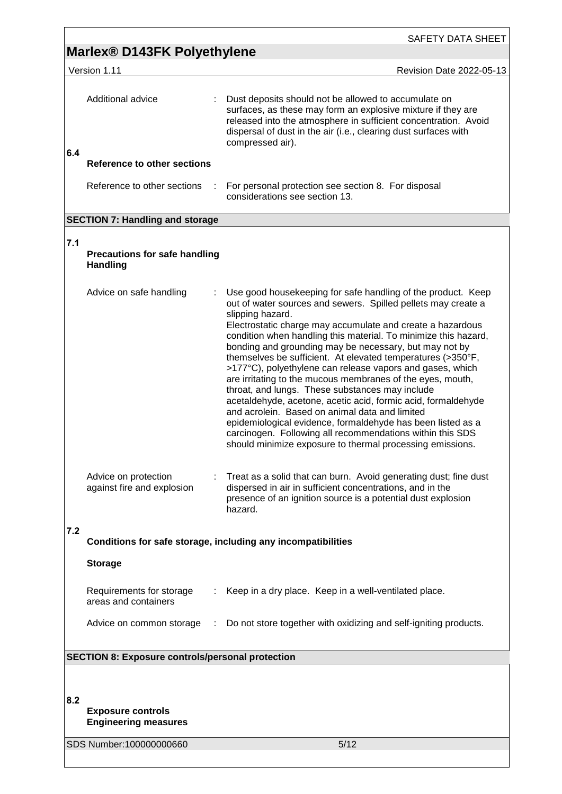| Marlex® D143FK Polyethylene<br>Version 1.11<br>Additional advice<br>: Dust deposits should not be allowed to accumulate on<br>surfaces, as these may form an explosive mixture if they are<br>released into the atmosphere in sufficient concentration. Avoid<br>dispersal of dust in the air (i.e., clearing dust surfaces with<br>compressed air).<br>6.4<br><b>Reference to other sections</b><br>Reference to other sections<br>For personal protection see section 8. For disposal<br>considerations see section 13.<br><b>SECTION 7: Handling and storage</b><br>7.1<br><b>Precautions for safe handling</b><br><b>Handling</b><br>Use good housekeeping for safe handling of the product. Keep<br>Advice on safe handling<br>out of water sources and sewers. Spilled pellets may create a<br>slipping hazard.<br>Electrostatic charge may accumulate and create a hazardous<br>condition when handling this material. To minimize this hazard,<br>bonding and grounding may be necessary, but may not by<br>themselves be sufficient. At elevated temperatures (>350°F,<br>>177°C), polyethylene can release vapors and gases, which<br>are irritating to the mucous membranes of the eyes, mouth,<br>throat, and lungs. These substances may include<br>acetaldehyde, acetone, acetic acid, formic acid, formaldehyde<br>and acrolein. Based on animal data and limited<br>epidemiological evidence, formaldehyde has been listed as a<br>carcinogen. Following all recommendations within this SDS<br>should minimize exposure to thermal processing emissions.<br>Advice on protection<br>Treat as a solid that can burn. Avoid generating dust; fine dust<br>against fire and explosion<br>dispersed in air in sufficient concentrations, and in the<br>presence of an ignition source is a potential dust explosion<br>hazard.<br>7.2<br>Conditions for safe storage, including any incompatibilities<br><b>Storage</b><br>Requirements for storage<br>Keep in a dry place. Keep in a well-ventilated place.<br>areas and containers<br>Do not store together with oxidizing and self-igniting products.<br>Advice on common storage :<br><b>SECTION 8: Exposure controls/personal protection</b><br>8.2<br><b>Exposure controls</b><br><b>Engineering measures</b><br>5/12<br>SDS Number:100000000660 |  | <b>SAFETY DATA SHEET</b>        |
|---------------------------------------------------------------------------------------------------------------------------------------------------------------------------------------------------------------------------------------------------------------------------------------------------------------------------------------------------------------------------------------------------------------------------------------------------------------------------------------------------------------------------------------------------------------------------------------------------------------------------------------------------------------------------------------------------------------------------------------------------------------------------------------------------------------------------------------------------------------------------------------------------------------------------------------------------------------------------------------------------------------------------------------------------------------------------------------------------------------------------------------------------------------------------------------------------------------------------------------------------------------------------------------------------------------------------------------------------------------------------------------------------------------------------------------------------------------------------------------------------------------------------------------------------------------------------------------------------------------------------------------------------------------------------------------------------------------------------------------------------------------------------------------------------------------------------------------------------------------------------------------------------------------------------------------------------------------------------------------------------------------------------------------------------------------------------------------------------------------------------------------------------------------------------------------------------------------------------------------------------------------------------------------------------------------------|--|---------------------------------|
|                                                                                                                                                                                                                                                                                                                                                                                                                                                                                                                                                                                                                                                                                                                                                                                                                                                                                                                                                                                                                                                                                                                                                                                                                                                                                                                                                                                                                                                                                                                                                                                                                                                                                                                                                                                                                                                                                                                                                                                                                                                                                                                                                                                                                                                                                                                     |  |                                 |
|                                                                                                                                                                                                                                                                                                                                                                                                                                                                                                                                                                                                                                                                                                                                                                                                                                                                                                                                                                                                                                                                                                                                                                                                                                                                                                                                                                                                                                                                                                                                                                                                                                                                                                                                                                                                                                                                                                                                                                                                                                                                                                                                                                                                                                                                                                                     |  | <b>Revision Date 2022-05-13</b> |
|                                                                                                                                                                                                                                                                                                                                                                                                                                                                                                                                                                                                                                                                                                                                                                                                                                                                                                                                                                                                                                                                                                                                                                                                                                                                                                                                                                                                                                                                                                                                                                                                                                                                                                                                                                                                                                                                                                                                                                                                                                                                                                                                                                                                                                                                                                                     |  |                                 |
|                                                                                                                                                                                                                                                                                                                                                                                                                                                                                                                                                                                                                                                                                                                                                                                                                                                                                                                                                                                                                                                                                                                                                                                                                                                                                                                                                                                                                                                                                                                                                                                                                                                                                                                                                                                                                                                                                                                                                                                                                                                                                                                                                                                                                                                                                                                     |  |                                 |
|                                                                                                                                                                                                                                                                                                                                                                                                                                                                                                                                                                                                                                                                                                                                                                                                                                                                                                                                                                                                                                                                                                                                                                                                                                                                                                                                                                                                                                                                                                                                                                                                                                                                                                                                                                                                                                                                                                                                                                                                                                                                                                                                                                                                                                                                                                                     |  |                                 |
|                                                                                                                                                                                                                                                                                                                                                                                                                                                                                                                                                                                                                                                                                                                                                                                                                                                                                                                                                                                                                                                                                                                                                                                                                                                                                                                                                                                                                                                                                                                                                                                                                                                                                                                                                                                                                                                                                                                                                                                                                                                                                                                                                                                                                                                                                                                     |  |                                 |
|                                                                                                                                                                                                                                                                                                                                                                                                                                                                                                                                                                                                                                                                                                                                                                                                                                                                                                                                                                                                                                                                                                                                                                                                                                                                                                                                                                                                                                                                                                                                                                                                                                                                                                                                                                                                                                                                                                                                                                                                                                                                                                                                                                                                                                                                                                                     |  |                                 |
|                                                                                                                                                                                                                                                                                                                                                                                                                                                                                                                                                                                                                                                                                                                                                                                                                                                                                                                                                                                                                                                                                                                                                                                                                                                                                                                                                                                                                                                                                                                                                                                                                                                                                                                                                                                                                                                                                                                                                                                                                                                                                                                                                                                                                                                                                                                     |  |                                 |
|                                                                                                                                                                                                                                                                                                                                                                                                                                                                                                                                                                                                                                                                                                                                                                                                                                                                                                                                                                                                                                                                                                                                                                                                                                                                                                                                                                                                                                                                                                                                                                                                                                                                                                                                                                                                                                                                                                                                                                                                                                                                                                                                                                                                                                                                                                                     |  |                                 |
|                                                                                                                                                                                                                                                                                                                                                                                                                                                                                                                                                                                                                                                                                                                                                                                                                                                                                                                                                                                                                                                                                                                                                                                                                                                                                                                                                                                                                                                                                                                                                                                                                                                                                                                                                                                                                                                                                                                                                                                                                                                                                                                                                                                                                                                                                                                     |  |                                 |
|                                                                                                                                                                                                                                                                                                                                                                                                                                                                                                                                                                                                                                                                                                                                                                                                                                                                                                                                                                                                                                                                                                                                                                                                                                                                                                                                                                                                                                                                                                                                                                                                                                                                                                                                                                                                                                                                                                                                                                                                                                                                                                                                                                                                                                                                                                                     |  |                                 |
|                                                                                                                                                                                                                                                                                                                                                                                                                                                                                                                                                                                                                                                                                                                                                                                                                                                                                                                                                                                                                                                                                                                                                                                                                                                                                                                                                                                                                                                                                                                                                                                                                                                                                                                                                                                                                                                                                                                                                                                                                                                                                                                                                                                                                                                                                                                     |  |                                 |
|                                                                                                                                                                                                                                                                                                                                                                                                                                                                                                                                                                                                                                                                                                                                                                                                                                                                                                                                                                                                                                                                                                                                                                                                                                                                                                                                                                                                                                                                                                                                                                                                                                                                                                                                                                                                                                                                                                                                                                                                                                                                                                                                                                                                                                                                                                                     |  |                                 |
|                                                                                                                                                                                                                                                                                                                                                                                                                                                                                                                                                                                                                                                                                                                                                                                                                                                                                                                                                                                                                                                                                                                                                                                                                                                                                                                                                                                                                                                                                                                                                                                                                                                                                                                                                                                                                                                                                                                                                                                                                                                                                                                                                                                                                                                                                                                     |  |                                 |
|                                                                                                                                                                                                                                                                                                                                                                                                                                                                                                                                                                                                                                                                                                                                                                                                                                                                                                                                                                                                                                                                                                                                                                                                                                                                                                                                                                                                                                                                                                                                                                                                                                                                                                                                                                                                                                                                                                                                                                                                                                                                                                                                                                                                                                                                                                                     |  |                                 |
|                                                                                                                                                                                                                                                                                                                                                                                                                                                                                                                                                                                                                                                                                                                                                                                                                                                                                                                                                                                                                                                                                                                                                                                                                                                                                                                                                                                                                                                                                                                                                                                                                                                                                                                                                                                                                                                                                                                                                                                                                                                                                                                                                                                                                                                                                                                     |  |                                 |
|                                                                                                                                                                                                                                                                                                                                                                                                                                                                                                                                                                                                                                                                                                                                                                                                                                                                                                                                                                                                                                                                                                                                                                                                                                                                                                                                                                                                                                                                                                                                                                                                                                                                                                                                                                                                                                                                                                                                                                                                                                                                                                                                                                                                                                                                                                                     |  |                                 |
|                                                                                                                                                                                                                                                                                                                                                                                                                                                                                                                                                                                                                                                                                                                                                                                                                                                                                                                                                                                                                                                                                                                                                                                                                                                                                                                                                                                                                                                                                                                                                                                                                                                                                                                                                                                                                                                                                                                                                                                                                                                                                                                                                                                                                                                                                                                     |  |                                 |

<u> 1980 - Johann Barn, mars ann an t-Amhain Aonaich an t-Aonaich an t-Aonaich an t-Aonaich an t-Aonaich ann an t-</u>

 $\overline{1}$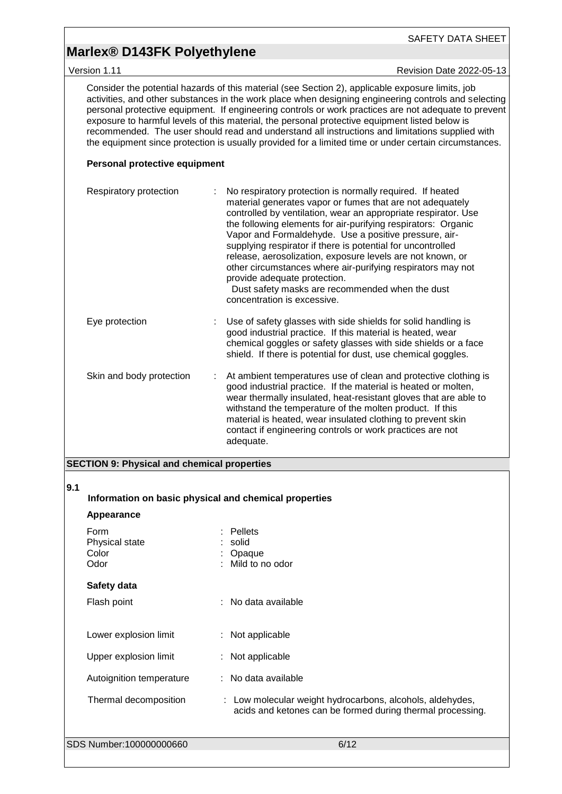### **Marlex® D143FK Polyethylene**

Version 1.11 **Version 1.11** Revision Date 2022-05-13

Consider the potential hazards of this material (see Section 2), applicable exposure limits, job activities, and other substances in the work place when designing engineering controls and selecting personal protective equipment. If engineering controls or work practices are not adequate to prevent exposure to harmful levels of this material, the personal protective equipment listed below is recommended. The user should read and understand all instructions and limitations supplied with the equipment since protection is usually provided for a limited time or under certain circumstances.

#### **Personal protective equipment**

| Respiratory protection   |   | No respiratory protection is normally required. If heated<br>material generates vapor or fumes that are not adequately<br>controlled by ventilation, wear an appropriate respirator. Use<br>the following elements for air-purifying respirators: Organic<br>Vapor and Formaldehyde. Use a positive pressure, air-<br>supplying respirator if there is potential for uncontrolled<br>release, aerosolization, exposure levels are not known, or<br>other circumstances where air-purifying respirators may not<br>provide adequate protection.<br>Dust safety masks are recommended when the dust<br>concentration is excessive. |
|--------------------------|---|----------------------------------------------------------------------------------------------------------------------------------------------------------------------------------------------------------------------------------------------------------------------------------------------------------------------------------------------------------------------------------------------------------------------------------------------------------------------------------------------------------------------------------------------------------------------------------------------------------------------------------|
| Eye protection           |   | Use of safety glasses with side shields for solid handling is<br>good industrial practice. If this material is heated, wear<br>chemical goggles or safety glasses with side shields or a face<br>shield. If there is potential for dust, use chemical goggles.                                                                                                                                                                                                                                                                                                                                                                   |
| Skin and body protection | ÷ | At ambient temperatures use of clean and protective clothing is<br>good industrial practice. If the material is heated or molten,<br>wear thermally insulated, heat-resistant gloves that are able to<br>withstand the temperature of the molten product. If this<br>material is heated, wear insulated clothing to prevent skin<br>contact if engineering controls or work practices are not<br>adequate.                                                                                                                                                                                                                       |

#### **SECTION 9: Physical and chemical properties**

#### **9.1**

|  | Information on basic physical and chemical properties |  |
|--|-------------------------------------------------------|--|

### **Appearance**

| Form<br>Physical state<br>Color<br>Odor | Pellets<br>solid<br>Opaque<br>: Mild to no odor                                                                         |
|-----------------------------------------|-------------------------------------------------------------------------------------------------------------------------|
| Safety data                             |                                                                                                                         |
| Flash point                             | $:$ No data available                                                                                                   |
|                                         |                                                                                                                         |
| Lower explosion limit                   | $:$ Not applicable                                                                                                      |
| Upper explosion limit                   | : Not applicable                                                                                                        |
| Autoignition temperature                | : No data available                                                                                                     |
| Thermal decomposition                   | : Low molecular weight hydrocarbons, alcohols, aldehydes,<br>acids and ketones can be formed during thermal processing. |
| SDS Number:100000000660                 | 6/12                                                                                                                    |
|                                         |                                                                                                                         |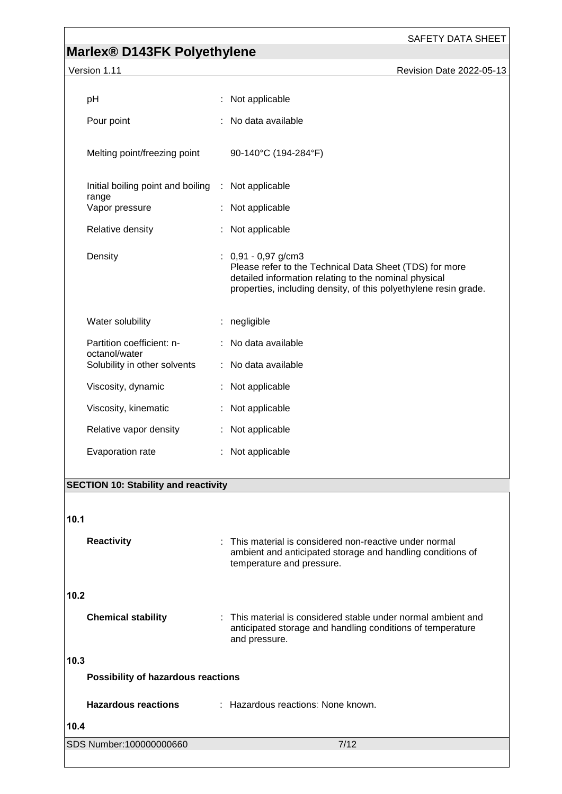### **Marlex® D143FK Polyethylene**

| Version 1.11                                  | Revision Date 2022-05-13                                                                                                                                                                                      |
|-----------------------------------------------|---------------------------------------------------------------------------------------------------------------------------------------------------------------------------------------------------------------|
| pH                                            | : Not applicable                                                                                                                                                                                              |
| Pour point                                    | : No data available                                                                                                                                                                                           |
| Melting point/freezing point                  | 90-140°C (194-284°F)                                                                                                                                                                                          |
| Initial boiling point and boiling             | : Not applicable                                                                                                                                                                                              |
| range<br>Vapor pressure                       | : Not applicable                                                                                                                                                                                              |
| Relative density                              | Not applicable                                                                                                                                                                                                |
| Density                                       | $: 0.91 - 0.97$ g/cm3<br>Please refer to the Technical Data Sheet (TDS) for more<br>detailed information relating to the nominal physical<br>properties, including density, of this polyethylene resin grade. |
| Water solubility                              | negligible                                                                                                                                                                                                    |
| Partition coefficient: n-                     | : No data available                                                                                                                                                                                           |
| octanol/water<br>Solubility in other solvents | No data available                                                                                                                                                                                             |
| Viscosity, dynamic                            | Not applicable                                                                                                                                                                                                |
| Viscosity, kinematic                          | Not applicable                                                                                                                                                                                                |
| Relative vapor density                        | : Not applicable                                                                                                                                                                                              |
| Evaporation rate                              | Not applicable                                                                                                                                                                                                |
|                                               |                                                                                                                                                                                                               |

#### **SECTION 10: Stability and reactivity**

# SDS Number:100000000660 7/12 **10.1 Reactivity** : This material is considered non-reactive under normal ambient and anticipated storage and handling conditions of temperature and pressure. **10.2 Chemical stability** : This material is considered stable under normal ambient and anticipated storage and handling conditions of temperature and pressure. **10.3 Possibility of hazardous reactions Hazardous reactions** : Hazardous reactions: None known. **10.4**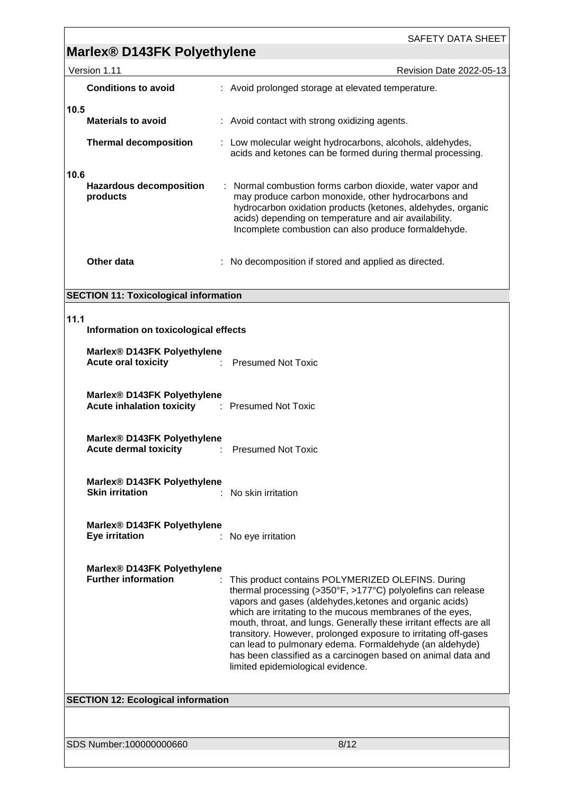### **Marlex® D143FK Polyethylene**

| Version 1.11                                              | <b>Revision Date 2022-05-13</b>                                                                                                                                                                                                                                                                  |  |  |  |
|-----------------------------------------------------------|--------------------------------------------------------------------------------------------------------------------------------------------------------------------------------------------------------------------------------------------------------------------------------------------------|--|--|--|
| <b>Conditions to avoid</b>                                | : Avoid prolonged storage at elevated temperature.                                                                                                                                                                                                                                               |  |  |  |
| 10.5<br><b>Materials to avoid</b>                         | : Avoid contact with strong oxidizing agents.                                                                                                                                                                                                                                                    |  |  |  |
| <b>Thermal decomposition</b>                              | : Low molecular weight hydrocarbons, alcohols, aldehydes,<br>acids and ketones can be formed during thermal processing.                                                                                                                                                                          |  |  |  |
| 10.6<br><b>Hazardous decomposition</b><br>products        | : Normal combustion forms carbon dioxide, water vapor and<br>may produce carbon monoxide, other hydrocarbons and<br>hydrocarbon oxidation products (ketones, aldehydes, organic<br>acids) depending on temperature and air availability.<br>Incomplete combustion can also produce formaldehyde. |  |  |  |
| Other data                                                | : No decomposition if stored and applied as directed.                                                                                                                                                                                                                                            |  |  |  |
| <b>SECTION 11: Toxicological information</b>              |                                                                                                                                                                                                                                                                                                  |  |  |  |
| 11.1<br>Information on toxicological effects              |                                                                                                                                                                                                                                                                                                  |  |  |  |
| Marlex® D143FK Polyethylene<br><b>Acute oral toxicity</b> | : Presumed Not Toxic                                                                                                                                                                                                                                                                             |  |  |  |

| Marlex <sup>®</sup> D143FK Polyethylene |                      |
|-----------------------------------------|----------------------|
| <b>Acute inhalation toxicity</b>        | : Presumed Not Toxic |

| Marlex <sup>®</sup> D143FK Polyethylene |                           |
|-----------------------------------------|---------------------------|
| <b>Acute dermal toxicity</b>            | <b>Presumed Not Toxic</b> |

**Marlex® D143FK Polyethylene Skin irritation** : No skin irritation

**Marlex® D143FK Polyethylene**

**Eye irritation** : No eye irritation

**Marlex® D143FK Polyethylene Further information** : This product contains POLYMERIZED OLEFINS. During

thermal processing (>350°F, >177°C) polyolefins can release vapors and gases (aldehydes,ketones and organic acids) which are irritating to the mucous membranes of the eyes, mouth, throat, and lungs. Generally these irritant effects are all transitory. However, prolonged exposure to irritating off-gases can lead to pulmonary edema. Formaldehyde (an aldehyde) has been classified as a carcinogen based on animal data and limited epidemiological evidence.

**SECTION 12: Ecological information**

SDS Number:100000000660 8/12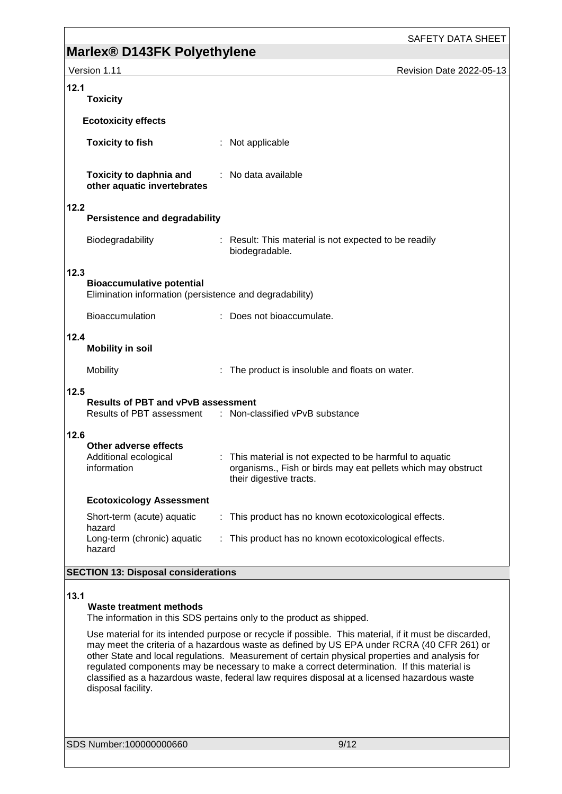SAFETY DATA SHEET

|              | <b>Mariex® D145FN Polyethylene</b>                                                                                                                                                                                                                                                                   |  |                                                                                                                                                     |                          |  |
|--------------|------------------------------------------------------------------------------------------------------------------------------------------------------------------------------------------------------------------------------------------------------------------------------------------------------|--|-----------------------------------------------------------------------------------------------------------------------------------------------------|--------------------------|--|
| Version 1.11 |                                                                                                                                                                                                                                                                                                      |  |                                                                                                                                                     | Revision Date 2022-05-13 |  |
| 12.1         | <b>Toxicity</b>                                                                                                                                                                                                                                                                                      |  |                                                                                                                                                     |                          |  |
|              | <b>Ecotoxicity effects</b>                                                                                                                                                                                                                                                                           |  |                                                                                                                                                     |                          |  |
|              | <b>Toxicity to fish</b>                                                                                                                                                                                                                                                                              |  | : Not applicable                                                                                                                                    |                          |  |
|              | <b>Toxicity to daphnia and</b><br>other aquatic invertebrates                                                                                                                                                                                                                                        |  | : No data available                                                                                                                                 |                          |  |
| 12.2         | <b>Persistence and degradability</b>                                                                                                                                                                                                                                                                 |  |                                                                                                                                                     |                          |  |
|              | Biodegradability                                                                                                                                                                                                                                                                                     |  | : Result: This material is not expected to be readily<br>biodegradable.                                                                             |                          |  |
| 12.3         | <b>Bioaccumulative potential</b><br>Elimination information (persistence and degradability)                                                                                                                                                                                                          |  |                                                                                                                                                     |                          |  |
|              | Bioaccumulation                                                                                                                                                                                                                                                                                      |  | : Does not bioaccumulate.                                                                                                                           |                          |  |
| 12.4         | <b>Mobility in soil</b>                                                                                                                                                                                                                                                                              |  |                                                                                                                                                     |                          |  |
|              | Mobility                                                                                                                                                                                                                                                                                             |  | : The product is insoluble and floats on water.                                                                                                     |                          |  |
| 12.5         | <b>Results of PBT and vPvB assessment</b>                                                                                                                                                                                                                                                            |  | Results of PBT assessment : Non-classified vPvB substance                                                                                           |                          |  |
| 12.6         | Other adverse effects<br>Additional ecological<br>information                                                                                                                                                                                                                                        |  | : This material is not expected to be harmful to aquatic<br>organisms., Fish or birds may eat pellets which may obstruct<br>their digestive tracts. |                          |  |
|              | <b>Ecotoxicology Assessment</b>                                                                                                                                                                                                                                                                      |  |                                                                                                                                                     |                          |  |
| hazard       | Short-term (acute) aquatic                                                                                                                                                                                                                                                                           |  | : This product has no known ecotoxicological effects.                                                                                               |                          |  |
| hazard       | Long-term (chronic) aquatic                                                                                                                                                                                                                                                                          |  | : This product has no known ecotoxicological effects.                                                                                               |                          |  |
|              | <b>SECTION 13: Disposal considerations</b>                                                                                                                                                                                                                                                           |  |                                                                                                                                                     |                          |  |
| 13.1         | Waste treatment methods                                                                                                                                                                                                                                                                              |  | The information in this SDS pertains only to the product as shipped.                                                                                |                          |  |
|              | Use material for its intended purpose or recycle if possible. This material, if it must be discarded,<br>may meet the criteria of a hazardous waste as defined by US EPA under RCRA (40 CFR 261) or<br>other State and local requisions. Measurement of certain physical preperties and apolysis for |  |                                                                                                                                                     |                          |  |

other State and local regulations. Measurement of certain physical properties and analysis for regulated components may be necessary to make a correct determination. If this material is classified as a hazardous waste, federal law requires disposal at a licensed hazardous waste disposal facility.

SDS Number:100000000660 9/12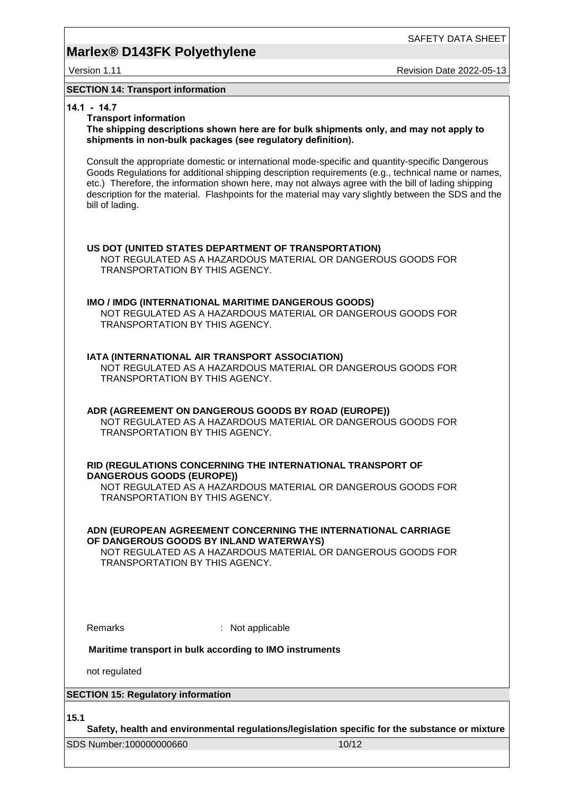SAFETY DATA SHEET

Version 1.11 **Network 2022-05-13** Revision Date 2022-05-13

#### **SECTION 14: Transport information**

#### **14.1 - 14.7**

#### **Transport information**

**The shipping descriptions shown here are for bulk shipments only, and may not apply to shipments in non-bulk packages (see regulatory definition).**

Consult the appropriate domestic or international mode-specific and quantity-specific Dangerous Goods Regulations for additional shipping description requirements (e.g., technical name or names, etc.) Therefore, the information shown here, may not always agree with the bill of lading shipping description for the material. Flashpoints for the material may vary slightly between the SDS and the bill of lading.

#### **US DOT (UNITED STATES DEPARTMENT OF TRANSPORTATION)** NOT REGULATED AS A HAZARDOUS MATERIAL OR DANGEROUS GOODS FOR

TRANSPORTATION BY THIS AGENCY.

#### **IMO / IMDG (INTERNATIONAL MARITIME DANGEROUS GOODS)**

NOT REGULATED AS A HAZARDOUS MATERIAL OR DANGEROUS GOODS FOR TRANSPORTATION BY THIS AGENCY.

#### **IATA (INTERNATIONAL AIR TRANSPORT ASSOCIATION)**

NOT REGULATED AS A HAZARDOUS MATERIAL OR DANGEROUS GOODS FOR TRANSPORTATION BY THIS AGENCY.

#### **ADR (AGREEMENT ON DANGEROUS GOODS BY ROAD (EUROPE))** NOT REGULATED AS A HAZARDOUS MATERIAL OR DANGEROUS GOODS FOR TRANSPORTATION BY THIS AGENCY.

#### **RID (REGULATIONS CONCERNING THE INTERNATIONAL TRANSPORT OF DANGEROUS GOODS (EUROPE))**

NOT REGULATED AS A HAZARDOUS MATERIAL OR DANGEROUS GOODS FOR TRANSPORTATION BY THIS AGENCY.

**ADN (EUROPEAN AGREEMENT CONCERNING THE INTERNATIONAL CARRIAGE OF DANGEROUS GOODS BY INLAND WATERWAYS)**

NOT REGULATED AS A HAZARDOUS MATERIAL OR DANGEROUS GOODS FOR TRANSPORTATION BY THIS AGENCY.

Remarks : Not applicable

#### **Maritime transport in bulk according to IMO instruments**

not regulated

### **SECTION 15: Regulatory information**

**15.1**

**Safety, health and environmental regulations/legislation specific for the substance or mixture**

SDS Number:100000000660 10/12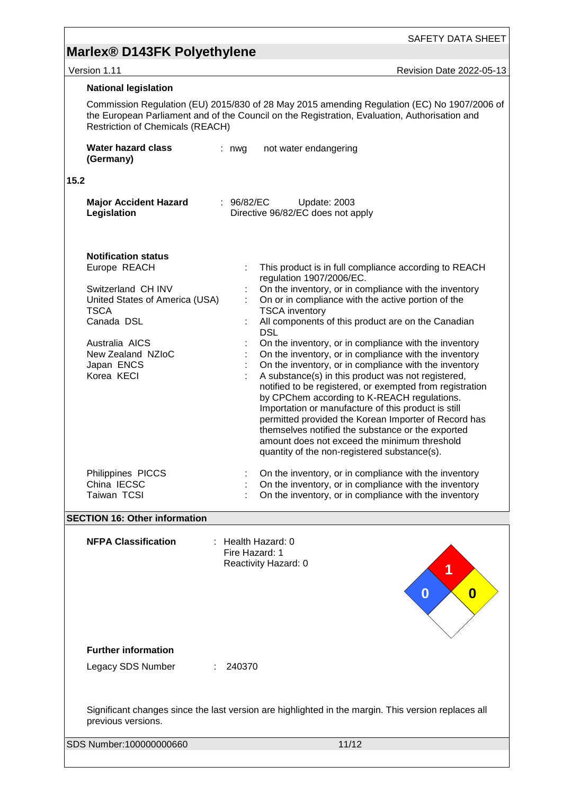version 1.11 **New York 2022-05-13** 

|                                                                                                                           | <b>National legislation</b>                                                                                                                                                                                                             |              |                                                                                                                                                                                                                                                                                                                                                                                                                                                                                                                                                                                                                                                                                                                                                                                                                                                                                                               |  |  |  |
|---------------------------------------------------------------------------------------------------------------------------|-----------------------------------------------------------------------------------------------------------------------------------------------------------------------------------------------------------------------------------------|--------------|---------------------------------------------------------------------------------------------------------------------------------------------------------------------------------------------------------------------------------------------------------------------------------------------------------------------------------------------------------------------------------------------------------------------------------------------------------------------------------------------------------------------------------------------------------------------------------------------------------------------------------------------------------------------------------------------------------------------------------------------------------------------------------------------------------------------------------------------------------------------------------------------------------------|--|--|--|
|                                                                                                                           | Commission Regulation (EU) 2015/830 of 28 May 2015 amending Regulation (EC) No 1907/2006 of<br>the European Parliament and of the Council on the Registration, Evaluation, Authorisation and<br><b>Restriction of Chemicals (REACH)</b> |              |                                                                                                                                                                                                                                                                                                                                                                                                                                                                                                                                                                                                                                                                                                                                                                                                                                                                                                               |  |  |  |
|                                                                                                                           | <b>Water hazard class</b><br>(Germany)                                                                                                                                                                                                  | $: nwq$      | not water endangering                                                                                                                                                                                                                                                                                                                                                                                                                                                                                                                                                                                                                                                                                                                                                                                                                                                                                         |  |  |  |
| 15.2                                                                                                                      |                                                                                                                                                                                                                                         |              |                                                                                                                                                                                                                                                                                                                                                                                                                                                                                                                                                                                                                                                                                                                                                                                                                                                                                                               |  |  |  |
|                                                                                                                           | <b>Major Accident Hazard</b><br>Legislation                                                                                                                                                                                             | : $96/82/EC$ | Update: 2003<br>Directive 96/82/EC does not apply                                                                                                                                                                                                                                                                                                                                                                                                                                                                                                                                                                                                                                                                                                                                                                                                                                                             |  |  |  |
|                                                                                                                           | <b>Notification status</b><br>Europe REACH<br>Switzerland CH INV<br>United States of America (USA)<br><b>TSCA</b><br>Canada DSL<br>Australia AICS<br>New Zealand NZIoC<br>Japan ENCS<br>Korea KECI                                      |              | This product is in full compliance according to REACH<br>regulation 1907/2006/EC.<br>On the inventory, or in compliance with the inventory<br>On or in compliance with the active portion of the<br><b>TSCA</b> inventory<br>All components of this product are on the Canadian<br><b>DSL</b><br>On the inventory, or in compliance with the inventory<br>On the inventory, or in compliance with the inventory<br>On the inventory, or in compliance with the inventory<br>A substance(s) in this product was not registered,<br>notified to be registered, or exempted from registration<br>by CPChem according to K-REACH regulations.<br>Importation or manufacture of this product is still<br>permitted provided the Korean Importer of Record has<br>themselves notified the substance or the exported<br>amount does not exceed the minimum threshold<br>quantity of the non-registered substance(s). |  |  |  |
|                                                                                                                           | Philippines PICCS<br>China IECSC<br>Taiwan TCSI                                                                                                                                                                                         |              | On the inventory, or in compliance with the inventory<br>On the inventory, or in compliance with the inventory<br>On the inventory, or in compliance with the inventory                                                                                                                                                                                                                                                                                                                                                                                                                                                                                                                                                                                                                                                                                                                                       |  |  |  |
|                                                                                                                           | <b>SECTION 16: Other information</b>                                                                                                                                                                                                    |              |                                                                                                                                                                                                                                                                                                                                                                                                                                                                                                                                                                                                                                                                                                                                                                                                                                                                                                               |  |  |  |
|                                                                                                                           | <b>NFPA Classification</b><br>$:$ Health Hazard: 0<br>Fire Hazard: 1<br>Reactivity Hazard: 0<br>0<br>0                                                                                                                                  |              |                                                                                                                                                                                                                                                                                                                                                                                                                                                                                                                                                                                                                                                                                                                                                                                                                                                                                                               |  |  |  |
|                                                                                                                           | <b>Further information</b>                                                                                                                                                                                                              |              |                                                                                                                                                                                                                                                                                                                                                                                                                                                                                                                                                                                                                                                                                                                                                                                                                                                                                                               |  |  |  |
|                                                                                                                           | Legacy SDS Number                                                                                                                                                                                                                       | 240370       |                                                                                                                                                                                                                                                                                                                                                                                                                                                                                                                                                                                                                                                                                                                                                                                                                                                                                                               |  |  |  |
| Significant changes since the last version are highlighted in the margin. This version replaces all<br>previous versions. |                                                                                                                                                                                                                                         |              |                                                                                                                                                                                                                                                                                                                                                                                                                                                                                                                                                                                                                                                                                                                                                                                                                                                                                                               |  |  |  |
|                                                                                                                           | SDS Number:100000000660<br>11/12                                                                                                                                                                                                        |              |                                                                                                                                                                                                                                                                                                                                                                                                                                                                                                                                                                                                                                                                                                                                                                                                                                                                                                               |  |  |  |
|                                                                                                                           |                                                                                                                                                                                                                                         |              |                                                                                                                                                                                                                                                                                                                                                                                                                                                                                                                                                                                                                                                                                                                                                                                                                                                                                                               |  |  |  |